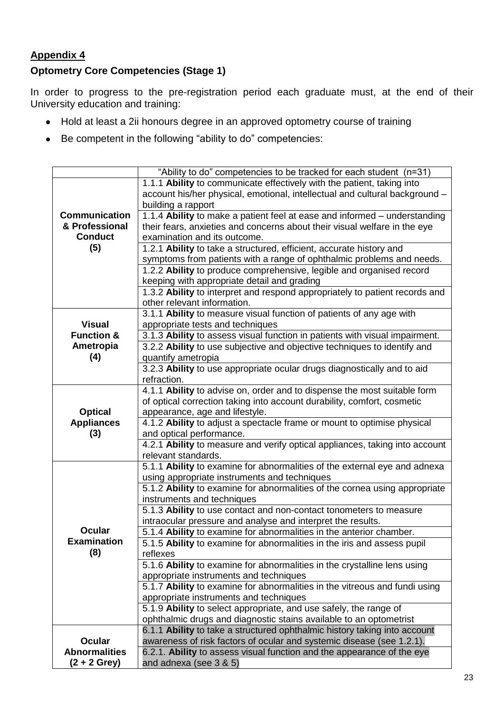## **Appendix 4**

## **Optometry Core Competencies (Stage 1)**

In order to progress to the pre-registration period each graduate must, at the end of their University education and training:

- Hold at least a 2ii honours degree in an approved optometry course of training
- Be competent in the following "ability to do" competencies:

|                       | "Ability to do" competencies to be tracked for each student (n=31)          |
|-----------------------|-----------------------------------------------------------------------------|
|                       | 1.1.1 Ability to communicate effectively with the patient, taking into      |
|                       | account his/her physical, emotional, intellectual and cultural background - |
|                       | building a rapport                                                          |
| <b>Communication</b>  | 1.1.4 Ability to make a patient feel at ease and informed – understanding   |
| & Professional        | their fears, anxieties and concerns about their visual welfare in the eye   |
| <b>Conduct</b>        | examination and its outcome.                                                |
| (5)                   | 1.2.1 Ability to take a structured, efficient, accurate history and         |
|                       | symptoms from patients with a range of ophthalmic problems and needs.       |
|                       | 1.2.2 Ability to produce comprehensive, legible and organised record        |
|                       | keeping with appropriate detail and grading                                 |
|                       | 1.3.2 Ability to interpret and respond appropriately to patient records and |
|                       | other relevant information.                                                 |
|                       | 3.1.1 Ability to measure visual function of patients of any age with        |
| <b>Visual</b>         | appropriate tests and techniques                                            |
| <b>Function &amp;</b> | 3.1.3 Ability to assess visual function in patients with visual impairment. |
| Ametropia             | 3.2.2 Ability to use subjective and objective techniques to identify and    |
| (4)                   | quantify ametropia                                                          |
|                       | 3.2.3 Ability to use appropriate ocular drugs diagnostically and to aid     |
|                       | refraction.                                                                 |
|                       | 4.1.1 Ability to advise on, order and to dispense the most suitable form    |
|                       | of optical correction taking into account durability, comfort, cosmetic     |
| <b>Optical</b>        | appearance, age and lifestyle.                                              |
| <b>Appliances</b>     | 4.1.2 Ability to adjust a spectacle frame or mount to optimise physical     |
| (3)                   | and optical performance.                                                    |
|                       | 4.2.1 Ability to measure and verify optical appliances, taking into account |
|                       | relevant standards.                                                         |
|                       | 5.1.1 Ability to examine for abnormalities of the external eye and adnexa   |
|                       | using appropriate instruments and techniques                                |
|                       | 5.1.2 Ability to examine for abnormalities of the cornea using appropriate  |
|                       | instruments and techniques                                                  |
|                       | 5.1.3 Ability to use contact and non-contact tonometers to measure          |
|                       | intraocular pressure and analyse and interpret the results.                 |
| <b>Ocular</b>         | 5.1.4 Ability to examine for abnormalities in the anterior chamber.         |
| <b>Examination</b>    | 5.1.5 Ability to examine for abnormalities in the iris and assess pupil     |
| (8)                   | reflexes                                                                    |
|                       | 5.1.6 Ability to examine for abnormalities in the crystalline lens using    |
|                       | appropriate instruments and techniques                                      |
|                       | 5.1.7 Ability to examine for abnormalities in the vitreous and fundi using  |
|                       | appropriate instruments and techniques                                      |
|                       | 5.1.9 Ability to select appropriate, and use safely, the range of           |
|                       | ophthalmic drugs and diagnostic stains available to an optometrist          |
|                       | 6.1.1 Ability to take a structured ophthalmic history taking into account   |
| <b>Ocular</b>         | awareness of risk factors of ocular and systemic disease (see 1.2.1).       |
| <b>Abnormalities</b>  | 6.2.1. Ability to assess visual function and the appearance of the eye      |
| $(2 + 2$ Grey)        | and adnexa (see 3 & 5)                                                      |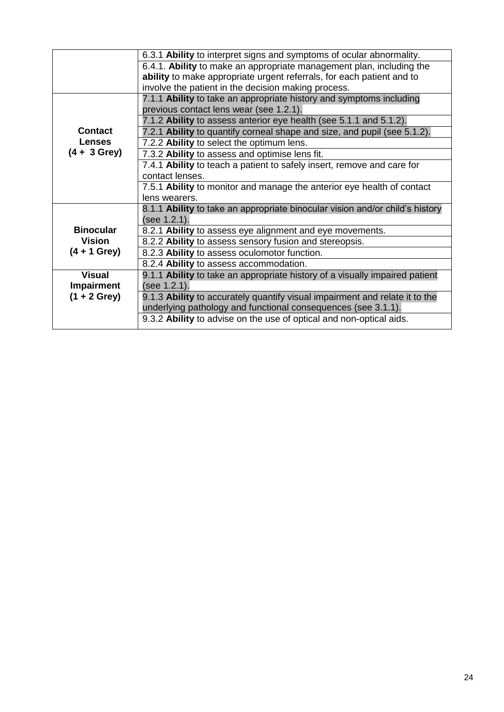|                   | 6.3.1 Ability to interpret signs and symptoms of ocular abnormality.         |
|-------------------|------------------------------------------------------------------------------|
|                   | 6.4.1. Ability to make an appropriate management plan, including the         |
|                   | ability to make appropriate urgent referrals, for each patient and to        |
|                   | involve the patient in the decision making process.                          |
|                   | 7.1.1 Ability to take an appropriate history and symptoms including          |
|                   | previous contact lens wear (see 1.2.1).                                      |
|                   | 7.1.2 Ability to assess anterior eye health (see 5.1.1 and 5.1.2).           |
| <b>Contact</b>    | 7.2.1 Ability to quantify corneal shape and size, and pupil (see 5.1.2).     |
| <b>Lenses</b>     | 7.2.2 Ability to select the optimum lens.                                    |
| $(4 + 3$ Grey)    | 7.3.2 Ability to assess and optimise lens fit.                               |
|                   | 7.4.1 Ability to teach a patient to safely insert, remove and care for       |
|                   | contact lenses.                                                              |
|                   | 7.5.1 Ability to monitor and manage the anterior eye health of contact       |
|                   | lens wearers.                                                                |
|                   | 8.1.1 Ability to take an appropriate binocular vision and/or child's history |
|                   | (see 1.2.1).                                                                 |
| <b>Binocular</b>  | 8.2.1 Ability to assess eye alignment and eye movements.                     |
| <b>Vision</b>     | 8.2.2 Ability to assess sensory fusion and stereopsis.                       |
| $(4 + 1$ Grey)    | 8.2.3 Ability to assess oculomotor function.                                 |
|                   | 8.2.4 Ability to assess accommodation.                                       |
| <b>Visual</b>     | 9.1.1 Ability to take an appropriate history of a visually impaired patient  |
| <b>Impairment</b> | (see 1.2.1).                                                                 |
| $(1 + 2$ Grey)    | 9.1.3 Ability to accurately quantify visual impairment and relate it to the  |
|                   | underlying pathology and functional consequences (see 3.1.1).                |
|                   | 9.3.2 Ability to advise on the use of optical and non-optical aids.          |
|                   |                                                                              |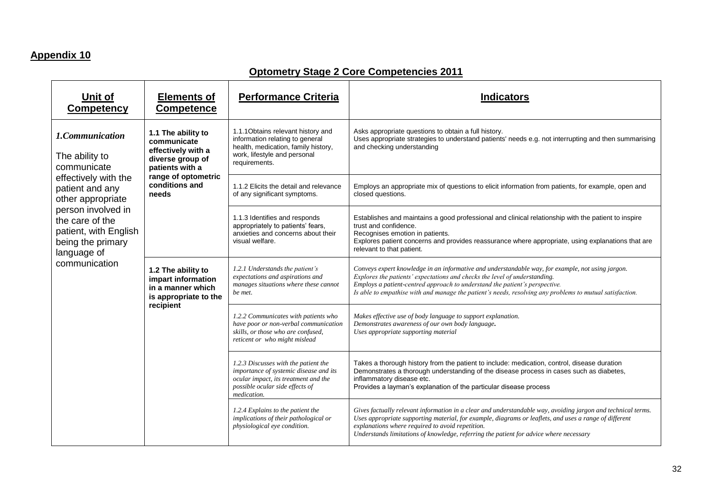## **Appendix 10**

## **Optometry Stage 2 Core Competencies 2011**

| Unit of<br><b>Competency</b>                                                                                        | <b>Elements of</b><br><b>Competence</b>                                                                                                          | <b>Performance Criteria</b>                                                                                                                                              | <b>Indicators</b>                                                                                                                                                                                                                                                                                                                                                          |
|---------------------------------------------------------------------------------------------------------------------|--------------------------------------------------------------------------------------------------------------------------------------------------|--------------------------------------------------------------------------------------------------------------------------------------------------------------------------|----------------------------------------------------------------------------------------------------------------------------------------------------------------------------------------------------------------------------------------------------------------------------------------------------------------------------------------------------------------------------|
| 1.Communication<br>The ability to<br>communicate                                                                    | 1.1 The ability to<br>communicate<br>effectively with a<br>diverse group of<br>patients with a<br>range of optometric<br>conditions and<br>needs | 1.1.1 Obtains relevant history and<br>information relating to general<br>health, medication, family history,<br>work, lifestyle and personal<br>requirements.            | Asks appropriate questions to obtain a full history.<br>Uses appropriate strategies to understand patients' needs e.g. not interrupting and then summarising<br>and checking understanding                                                                                                                                                                                 |
| effectively with the<br>patient and any<br>other appropriate                                                        |                                                                                                                                                  | 1.1.2 Elicits the detail and relevance<br>of any significant symptoms.                                                                                                   | Employs an appropriate mix of questions to elicit information from patients, for example, open and<br>closed questions.                                                                                                                                                                                                                                                    |
| person involved in<br>the care of the<br>patient, with English<br>being the primary<br>language of<br>communication |                                                                                                                                                  | 1.1.3 Identifies and responds<br>appropriately to patients' fears,<br>anxieties and concerns about their<br>visual welfare.                                              | Establishes and maintains a good professional and clinical relationship with the patient to inspire<br>trust and confidence.<br>Recognises emotion in patients.<br>Explores patient concerns and provides reassurance where appropriate, using explanations that are<br>relevant to that patient.                                                                          |
|                                                                                                                     | 1.2 The ability to<br>impart information<br>in a manner which<br>is appropriate to the                                                           | 1.2.1 Understands the patient's<br>expectations and aspirations and<br>manages situations where these cannot<br>be met.                                                  | Conveys expert knowledge in an informative and understandable way, for example, not using jargon.<br>Explores the patients' expectations and checks the level of understanding.<br>Employs a patient-centred approach to understand the patient's perspective.<br>Is able to empathise with and manage the patient's needs, resolving any problems to mutual satisfaction. |
|                                                                                                                     | recipient                                                                                                                                        | 1.2.2 Communicates with patients who<br>have poor or non-verbal communication<br>skills, or those who are confused,<br>reticent or who might mislead                     | Makes effective use of body language to support explanation.<br>Demonstrates awareness of our own body language.<br>Uses appropriate supporting material                                                                                                                                                                                                                   |
|                                                                                                                     |                                                                                                                                                  | 1.2.3 Discusses with the patient the<br>importance of systemic disease and its<br>ocular impact, its treatment and the<br>possible ocular side effects of<br>medication. | Takes a thorough history from the patient to include: medication, control, disease duration<br>Demonstrates a thorough understanding of the disease process in cases such as diabetes,<br>inflammatory disease etc.<br>Provides a layman's explanation of the particular disease process                                                                                   |
|                                                                                                                     |                                                                                                                                                  | 1.2.4 Explains to the patient the<br>implications of their pathological or<br>physiological eye condition.                                                               | Gives factually relevant information in a clear and understandable way, avoiding jargon and technical terms.<br>Uses appropriate supporting material, for example, diagrams or leaflets, and uses a range of different<br>explanations where required to avoid repetition.<br>Understands limitations of knowledge, referring the patient for advice where necessary       |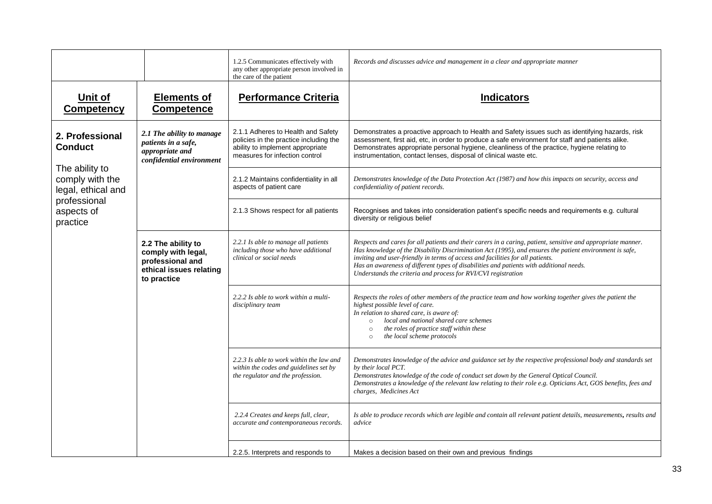|                                                         |                                                                                                        | 1.2.5 Communicates effectively with<br>any other appropriate person involved in<br>the care of the patient                                         | Records and discusses advice and management in a clear and appropriate manner                                                                                                                                                                                                                                                                                                                                                                                         |
|---------------------------------------------------------|--------------------------------------------------------------------------------------------------------|----------------------------------------------------------------------------------------------------------------------------------------------------|-----------------------------------------------------------------------------------------------------------------------------------------------------------------------------------------------------------------------------------------------------------------------------------------------------------------------------------------------------------------------------------------------------------------------------------------------------------------------|
| Unit of<br><b>Competency</b>                            | <b>Elements of</b><br><b>Competence</b>                                                                | <b>Performance Criteria</b>                                                                                                                        | <b>Indicators</b>                                                                                                                                                                                                                                                                                                                                                                                                                                                     |
| 2. Professional<br><b>Conduct</b>                       | 2.1 The ability to manage<br>patients in a safe,<br>appropriate and<br>confidential environment        | 2.1.1 Adheres to Health and Safety<br>policies in the practice including the<br>ability to implement appropriate<br>measures for infection control | Demonstrates a proactive approach to Health and Safety issues such as identifying hazards, risk<br>assessment, first aid, etc, in order to produce a safe environment for staff and patients alike.<br>Demonstrates appropriate personal hygiene, cleanliness of the practice, hygiene relating to<br>instrumentation, contact lenses, disposal of clinical waste etc.                                                                                                |
| The ability to<br>comply with the<br>legal, ethical and |                                                                                                        | 2.1.2 Maintains confidentiality in all<br>aspects of patient care                                                                                  | Demonstrates knowledge of the Data Protection Act (1987) and how this impacts on security, access and<br>confidentiality of patient records.                                                                                                                                                                                                                                                                                                                          |
| professional<br>aspects of<br>practice                  |                                                                                                        | 2.1.3 Shows respect for all patients                                                                                                               | Recognises and takes into consideration patient's specific needs and requirements e.g. cultural<br>diversity or religious belief                                                                                                                                                                                                                                                                                                                                      |
|                                                         | 2.2 The ability to<br>comply with legal,<br>professional and<br>ethical issues relating<br>to practice | 2.2.1 Is able to manage all patients<br>including those who have additional<br>clinical or social needs                                            | Respects and cares for all patients and their carers in a caring, patient, sensitive and appropriate manner.<br>Has knowledge of the Disability Discrimination Act (1995), and ensures the patient environment is safe,<br>inviting and user-friendly in terms of access and facilities for all patients.<br>Has an awareness of different types of disabilities and patients with additional needs.<br>Understands the criteria and process for RVI/CVI registration |
|                                                         |                                                                                                        | 2.2.2 Is able to work within a multi-<br>disciplinary team                                                                                         | Respects the roles of other members of the practice team and how working together gives the patient the<br>highest possible level of care.<br>In relation to shared care, is aware of:<br>local and national shared care schemes<br>$\circ$<br>the roles of practice staff within these<br>$\circ$<br>the local scheme protocols<br>$\circ$                                                                                                                           |
|                                                         |                                                                                                        | 2.2.3 Is able to work within the law and<br>within the codes and guidelines set by<br>the regulator and the profession.                            | Demonstrates knowledge of the advice and guidance set by the respective professional body and standards set<br>by their local PCT.<br>Demonstrates knowledge of the code of conduct set down by the General Optical Council.<br>Demonstrates a knowledge of the relevant law relating to their role e.g. Opticians Act, GOS benefits, fees and<br>charges, Medicines Act                                                                                              |
|                                                         |                                                                                                        | 2.2.4 Creates and keeps full, clear,<br>accurate and contemporaneous records.                                                                      | Is able to produce records which are legible and contain all relevant patient details, measurements, results and<br>advice                                                                                                                                                                                                                                                                                                                                            |
|                                                         |                                                                                                        | 2.2.5. Interprets and responds to                                                                                                                  | Makes a decision based on their own and previous findings                                                                                                                                                                                                                                                                                                                                                                                                             |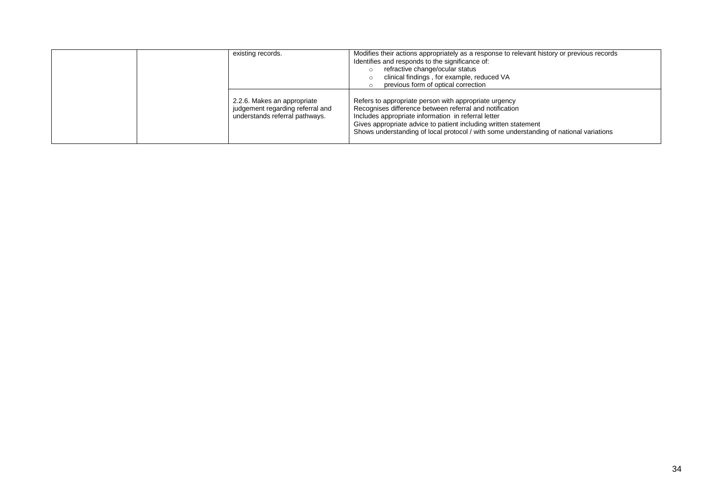| existing records.                                                                                 | Modifies their actions appropriately as a response to relevant history or previous records<br>Identifies and responds to the significance of:<br>refractive change/ocular status<br>clinical findings, for example, reduced VA<br>previous form of optical correction                                                                |
|---------------------------------------------------------------------------------------------------|--------------------------------------------------------------------------------------------------------------------------------------------------------------------------------------------------------------------------------------------------------------------------------------------------------------------------------------|
| 2.2.6. Makes an appropriate<br>judgement regarding referral and<br>understands referral pathways. | Refers to appropriate person with appropriate urgency<br>Recognises difference between referral and notification<br>Includes appropriate information in referral letter<br>Gives appropriate advice to patient including written statement<br>Shows understanding of local protocol / with some understanding of national variations |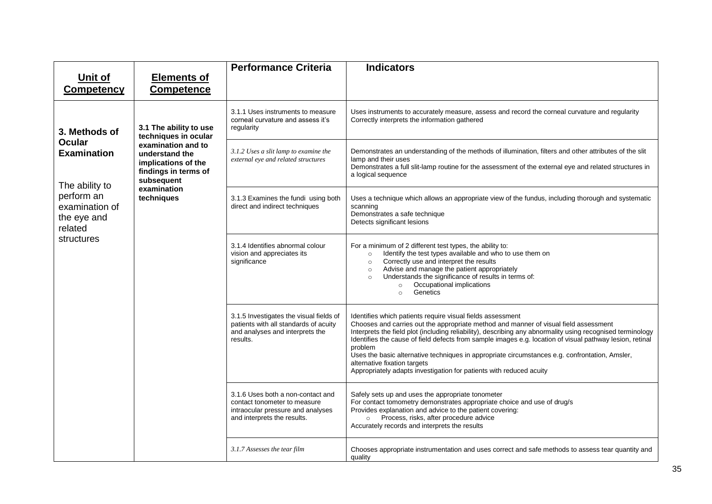|                              |                                                                                                                                                                                                                  | <b>Performance Criteria</b>                                                                                                                                                                                                                                                                                                                                                       | <b>Indicators</b>                                                                                                                                                                                                                                                                                                                                                                                                                                                                                                                                                                                |
|------------------------------|------------------------------------------------------------------------------------------------------------------------------------------------------------------------------------------------------------------|-----------------------------------------------------------------------------------------------------------------------------------------------------------------------------------------------------------------------------------------------------------------------------------------------------------------------------------------------------------------------------------|--------------------------------------------------------------------------------------------------------------------------------------------------------------------------------------------------------------------------------------------------------------------------------------------------------------------------------------------------------------------------------------------------------------------------------------------------------------------------------------------------------------------------------------------------------------------------------------------------|
| Unit of<br><b>Competency</b> | <b>Elements of</b><br><b>Competence</b>                                                                                                                                                                          |                                                                                                                                                                                                                                                                                                                                                                                   |                                                                                                                                                                                                                                                                                                                                                                                                                                                                                                                                                                                                  |
| 3. Methods of                | 3.1 The ability to use<br>techniques in ocular                                                                                                                                                                   | 3.1.1 Uses instruments to measure<br>corneal curvature and assess it's<br>regularity                                                                                                                                                                                                                                                                                              | Uses instruments to accurately measure, assess and record the corneal curvature and regularity<br>Correctly interprets the information gathered                                                                                                                                                                                                                                                                                                                                                                                                                                                  |
| <b>Examination</b>           | <b>Ocular</b><br>examination and to<br>understand the<br>implications of the<br>findings in terms of<br>subsequent<br>The ability to<br>examination<br>perform an<br>techniques<br>examination of<br>the eye and | 3.1.2 Uses a slit lamp to examine the<br>external eye and related structures                                                                                                                                                                                                                                                                                                      | Demonstrates an understanding of the methods of illumination, filters and other attributes of the slit<br>lamp and their uses<br>Demonstrates a full slit-lamp routine for the assessment of the external eye and related structures in<br>a logical sequence                                                                                                                                                                                                                                                                                                                                    |
| related                      |                                                                                                                                                                                                                  | 3.1.3 Examines the fundi using both<br>direct and indirect techniques                                                                                                                                                                                                                                                                                                             | Uses a technique which allows an appropriate view of the fundus, including thorough and systematic<br>scanning<br>Demonstrates a safe technique<br>Detects significant lesions                                                                                                                                                                                                                                                                                                                                                                                                                   |
| structures                   | 3.1.4 Identifies abnormal colour<br>vision and appreciates its<br>significance                                                                                                                                   | For a minimum of 2 different test types, the ability to:<br>Identify the test types available and who to use them on<br>$\circ$<br>Correctly use and interpret the results<br>$\circ$<br>Advise and manage the patient appropriately<br>$\circ$<br>Understands the significance of results in terms of:<br>$\circ$<br>Occupational implications<br>$\circ$<br>Genetics<br>$\circ$ |                                                                                                                                                                                                                                                                                                                                                                                                                                                                                                                                                                                                  |
|                              |                                                                                                                                                                                                                  | 3.1.5 Investigates the visual fields of<br>patients with all standards of acuity<br>and analyses and interprets the<br>results.                                                                                                                                                                                                                                                   | Identifies which patients require visual fields assessment<br>Chooses and carries out the appropriate method and manner of visual field assessment<br>Interprets the field plot (including reliability), describing any abnormality using recognised terminology<br>Identifies the cause of field defects from sample images e.g. location of visual pathway lesion, retinal<br>problem<br>Uses the basic alternative techniques in appropriate circumstances e.g. confrontation, Amsler,<br>alternative fixation targets<br>Appropriately adapts investigation for patients with reduced acuity |
|                              |                                                                                                                                                                                                                  | 3.1.6 Uses both a non-contact and<br>contact tonometer to measure<br>intraocular pressure and analyses<br>and interprets the results.                                                                                                                                                                                                                                             | Safely sets up and uses the appropriate tonometer<br>For contact tomometry demonstrates appropriate choice and use of drug/s<br>Provides explanation and advice to the patient covering:<br>Process, risks, after procedure advice<br>$\circ$<br>Accurately records and interprets the results                                                                                                                                                                                                                                                                                                   |
|                              |                                                                                                                                                                                                                  | 3.1.7 Assesses the tear film                                                                                                                                                                                                                                                                                                                                                      | Chooses appropriate instrumentation and uses correct and safe methods to assess tear quantity and<br>quality                                                                                                                                                                                                                                                                                                                                                                                                                                                                                     |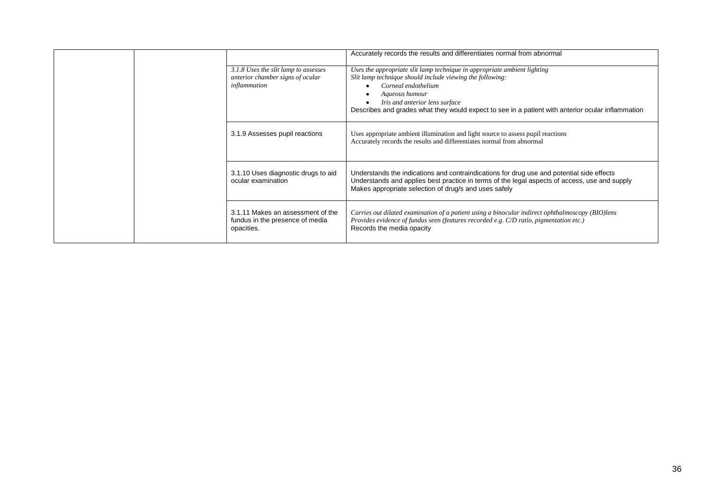|  |                                                                                          |                                                                                                                                                                                                                                                                                                                       | Accurately records the results and differentiates normal from abnormal                                                                                                                                                   |
|--|------------------------------------------------------------------------------------------|-----------------------------------------------------------------------------------------------------------------------------------------------------------------------------------------------------------------------------------------------------------------------------------------------------------------------|--------------------------------------------------------------------------------------------------------------------------------------------------------------------------------------------------------------------------|
|  | 3.1.8 Uses the slit lamp to assesses<br>anterior chamber signs of ocular<br>inflammation | Uses the appropriate slit lamp technique in appropriate ambient lighting<br>Slit lamp technique should include viewing the following:<br>Corneal endothelium<br>Aqueous humour<br>Iris and anterior lens surface<br>Describes and grades what they would expect to see in a patient with anterior ocular inflammation |                                                                                                                                                                                                                          |
|  | 3.1.9 Assesses pupil reactions                                                           | Uses appropriate ambient illumination and light source to assess pupil reactions<br>Accurately records the results and differentiates normal from abnormal                                                                                                                                                            |                                                                                                                                                                                                                          |
|  | 3.1.10 Uses diagnostic drugs to aid<br>ocular examination                                | Understands the indications and contraindications for drug use and potential side effects<br>Understands and applies best practice in terms of the legal aspects of access, use and supply<br>Makes appropriate selection of drug/s and uses safely                                                                   |                                                                                                                                                                                                                          |
|  |                                                                                          | 3.1.11 Makes an assessment of the<br>fundus in the presence of media<br>opacities.                                                                                                                                                                                                                                    | Carries out dilated examination of a patient using a binocular indirect ophthalmoscopy (BIO) lens<br>Provides evidence of fundus seen (features recorded e.g. C/D ratio, pigmentation etc.)<br>Records the media opacity |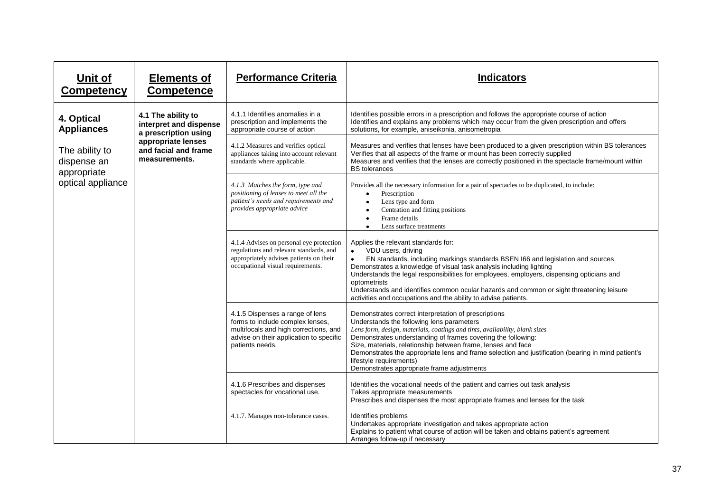| Unit of<br><b>Competency</b>                                      | <b>Elements of</b><br><b>Competence</b>                              | <b>Performance Criteria</b>                                                                                                                                                | <b>Indicators</b>                                                                                                                                                                                                                                                                                                                                                                                                                                                                                                        |
|-------------------------------------------------------------------|----------------------------------------------------------------------|----------------------------------------------------------------------------------------------------------------------------------------------------------------------------|--------------------------------------------------------------------------------------------------------------------------------------------------------------------------------------------------------------------------------------------------------------------------------------------------------------------------------------------------------------------------------------------------------------------------------------------------------------------------------------------------------------------------|
| 4. Optical<br><b>Appliances</b>                                   | 4.1 The ability to<br>interpret and dispense<br>a prescription using | 4.1.1 Identifies anomalies in a<br>prescription and implements the<br>appropriate course of action                                                                         | Identifies possible errors in a prescription and follows the appropriate course of action<br>Identifies and explains any problems which may occur from the given prescription and offers<br>solutions, for example, aniseikonia, anisometropia                                                                                                                                                                                                                                                                           |
| The ability to<br>dispense an<br>appropriate<br>optical appliance | appropriate lenses<br>and facial and frame<br>measurements.          | 4.1.2 Measures and verifies optical<br>appliances taking into account relevant<br>standards where applicable.                                                              | Measures and verifies that lenses have been produced to a given prescription within BS tolerances<br>Verifies that all aspects of the frame or mount has been correctly supplied<br>Measures and verifies that the lenses are correctly positioned in the spectacle frame/mount within<br><b>BS</b> tolerances                                                                                                                                                                                                           |
|                                                                   |                                                                      | 4.1.3 Matches the form, type and<br>positioning of lenses to meet all the<br>patient's needs and requirements and<br>provides appropriate advice                           | Provides all the necessary information for a pair of spectacles to be duplicated, to include:<br>Prescription<br>$\bullet$<br>Lens type and form<br>$\bullet$<br>Centration and fitting positions<br>Frame details<br>$\bullet$<br>Lens surface treatments<br>$\bullet$                                                                                                                                                                                                                                                  |
|                                                                   |                                                                      | 4.1.4 Advises on personal eye protection<br>regulations and relevant standards, and<br>appropriately advises patients on their<br>occupational visual requirements.        | Applies the relevant standards for:<br>VDU users, driving<br>$\bullet$<br>EN standards, including markings standards BSEN I66 and legislation and sources<br>$\bullet$<br>Demonstrates a knowledge of visual task analysis including lighting<br>Understands the legal responsibilities for employees, employers, dispensing opticians and<br>optometrists<br>Understands and identifies common ocular hazards and common or sight threatening leisure<br>activities and occupations and the ability to advise patients. |
|                                                                   |                                                                      | 4.1.5 Dispenses a range of lens<br>forms to include complex lenses,<br>multifocals and high corrections, and<br>advise on their application to specific<br>patients needs. | Demonstrates correct interpretation of prescriptions<br>Understands the following lens parameters<br>Lens form, design, materials, coatings and tints, availability, blank sizes<br>Demonstrates understanding of frames covering the following:<br>Size, materials, relationship between frame, lenses and face<br>Demonstrates the appropriate lens and frame selection and justification (bearing in mind patient's<br>lifestyle requirements)<br>Demonstrates appropriate frame adjustments                          |
|                                                                   |                                                                      | 4.1.6 Prescribes and dispenses<br>spectacles for vocational use.                                                                                                           | Identifies the vocational needs of the patient and carries out task analysis<br>Takes appropriate measurements<br>Prescribes and dispenses the most appropriate frames and lenses for the task                                                                                                                                                                                                                                                                                                                           |
|                                                                   |                                                                      | 4.1.7. Manages non-tolerance cases.                                                                                                                                        | Identifies problems<br>Undertakes appropriate investigation and takes appropriate action<br>Explains to patient what course of action will be taken and obtains patient's agreement<br>Arranges follow-up if necessary                                                                                                                                                                                                                                                                                                   |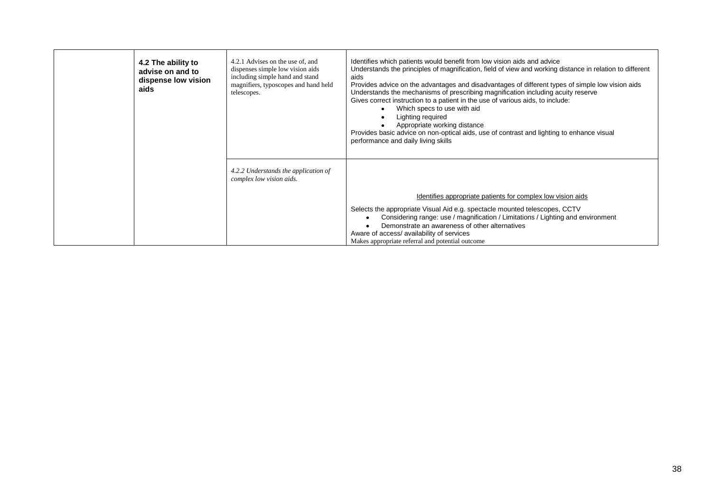| 4.2 The ability to<br>advise on and to<br>dispense low vision<br>aids | 4.2.1 Advises on the use of, and<br>dispenses simple low vision aids<br>including simple hand and stand<br>magnifiers, typoscopes and hand held<br>telescopes. | Identifies which patients would benefit from low vision aids and advice<br>Understands the principles of magnification, field of view and working distance in relation to different<br>aids<br>Provides advice on the advantages and disadvantages of different types of simple low vision aids<br>Understands the mechanisms of prescribing magnification including acuity reserve<br>Gives correct instruction to a patient in the use of various aids, to include:<br>Which specs to use with aid<br>Lighting required<br>Appropriate working distance<br>Provides basic advice on non-optical aids, use of contrast and lighting to enhance visual<br>performance and daily living skills |
|-----------------------------------------------------------------------|----------------------------------------------------------------------------------------------------------------------------------------------------------------|-----------------------------------------------------------------------------------------------------------------------------------------------------------------------------------------------------------------------------------------------------------------------------------------------------------------------------------------------------------------------------------------------------------------------------------------------------------------------------------------------------------------------------------------------------------------------------------------------------------------------------------------------------------------------------------------------|
|                                                                       | 4.2.2 Understands the application of<br>complex low vision aids.                                                                                               |                                                                                                                                                                                                                                                                                                                                                                                                                                                                                                                                                                                                                                                                                               |
|                                                                       |                                                                                                                                                                | Identifies appropriate patients for complex low vision aids                                                                                                                                                                                                                                                                                                                                                                                                                                                                                                                                                                                                                                   |
|                                                                       |                                                                                                                                                                | Selects the appropriate Visual Aid e.g. spectacle mounted telescopes, CCTV<br>Considering range: use / magnification / Limitations / Lighting and environment<br>Demonstrate an awareness of other alternatives<br>Aware of access/ availability of services<br>Makes appropriate referral and potential outcome                                                                                                                                                                                                                                                                                                                                                                              |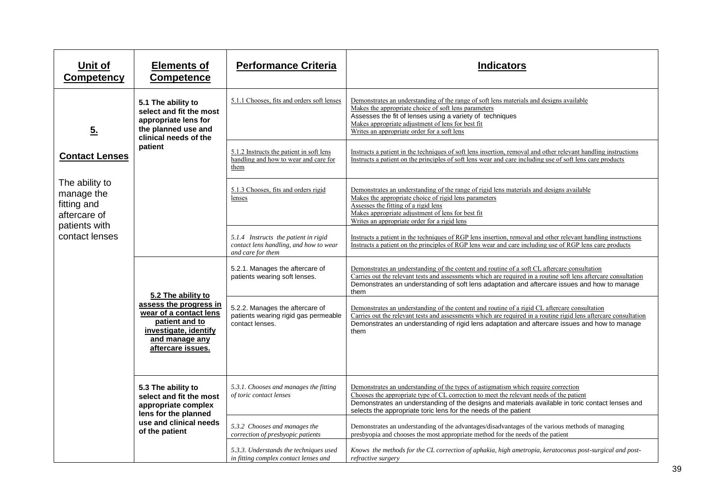| Unit of<br><b>Competency</b>                                                                   | <b>Elements of</b><br><b>Competence</b>                                                                                                  | <b>Performance Criteria</b>                                                                         | <b>Indicators</b>                                                                                                                                                                                                                                                                                                                                    |
|------------------------------------------------------------------------------------------------|------------------------------------------------------------------------------------------------------------------------------------------|-----------------------------------------------------------------------------------------------------|------------------------------------------------------------------------------------------------------------------------------------------------------------------------------------------------------------------------------------------------------------------------------------------------------------------------------------------------------|
| 5.                                                                                             | 5.1 The ability to<br>select and fit the most<br>appropriate lens for<br>the planned use and<br>clinical needs of the                    | 5.1.1 Chooses, fits and orders soft lenses                                                          | Demonstrates an understanding of the range of soft lens materials and designs available<br>Makes the appropriate choice of soft lens parameters<br>Assesses the fit of lenses using a variety of techniques<br>Makes appropriate adjustment of lens for best fit<br>Writes an appropriate order for a soft lens                                      |
| <b>Contact Lenses</b>                                                                          | patient                                                                                                                                  | 5.1.2 Instructs the patient in soft lens<br>handling and how to wear and care for<br>them           | Instructs a patient in the techniques of soft lens insertion, removal and other relevant handling instructions<br>Instructs a patient on the principles of soft lens wear and care including use of soft lens care products                                                                                                                          |
| The ability to<br>manage the<br>fitting and<br>aftercare of<br>patients with<br>contact lenses |                                                                                                                                          | 5.1.3 Chooses, fits and orders rigid<br>lenses                                                      | Demonstrates an understanding of the range of rigid lens materials and designs available<br>Makes the appropriate choice of rigid lens parameters<br>Assesses the fitting of a rigid lens<br>Makes appropriate adjustment of lens for best fit<br>Writes an appropriate order for a rigid lens                                                       |
|                                                                                                |                                                                                                                                          | 5.1.4 Instructs the patient in rigid<br>contact lens handling, and how to wear<br>and care for them | Instructs a patient in the techniques of RGP lens insertion, removal and other relevant handling instructions<br>Instructs a patient on the principles of RGP lens wear and care including use of RGP lens care products                                                                                                                             |
|                                                                                                | 5.2 The ability to                                                                                                                       | 5.2.1. Manages the aftercare of<br>patients wearing soft lenses.                                    | Demonstrates an understanding of the content and routine of a soft CL aftercare consultation<br>Carries out the relevant tests and assessments which are required in a routine soft lens aftercare consultation<br>Demonstrates an understanding of soft lens adaptation and aftercare issues and how to manage<br>them                              |
|                                                                                                | assess the progress in<br>wear of a contact lens<br>patient and to<br>investigate, identify<br>and manage any<br>aftercare issues.       | 5.2.2. Manages the aftercare of<br>patients wearing rigid gas permeable<br>contact lenses.          | Demonstrates an understanding of the content and routine of a rigid CL aftercare consultation<br>Carries out the relevant tests and assessments which are required in a routine rigid lens aftercare consultation<br>Demonstrates an understanding of rigid lens adaptation and aftercare issues and how to manage<br>them                           |
|                                                                                                | 5.3 The ability to<br>select and fit the most<br>appropriate complex<br>lens for the planned<br>use and clinical needs<br>of the patient | 5.3.1. Chooses and manages the fitting<br>of toric contact lenses                                   | Demonstrates an understanding of the types of astigmatism which require correction<br>Chooses the appropriate type of CL correction to meet the relevant needs of the patient<br>Demonstrates an understanding of the designs and materials available in toric contact lenses and<br>selects the appropriate toric lens for the needs of the patient |
|                                                                                                |                                                                                                                                          | 5.3.2 Chooses and manages the<br>correction of presbyopic patients                                  | Demonstrates an understanding of the advantages/disadvantages of the various methods of managing<br>presbyopia and chooses the most appropriate method for the needs of the patient                                                                                                                                                                  |
|                                                                                                |                                                                                                                                          | 5.3.3. Understands the techniques used<br>in fitting complex contact lenses and                     | Knows the methods for the CL correction of aphakia, high ametropia, keratoconus post-surgical and post-<br>refractive surgery                                                                                                                                                                                                                        |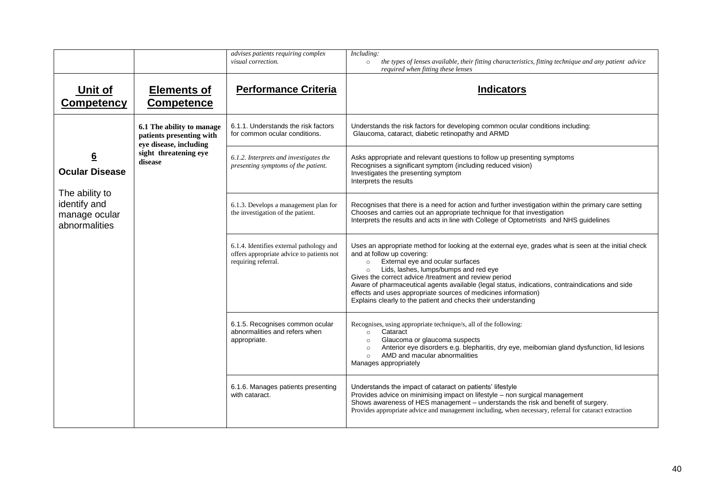|                                                                  |                                                                                 | advises patients requiring complex<br>visual correction.                                                     | $\overline{Including:}$<br>the types of lenses available, their fitting characteristics, fitting technique and any patient advice<br>$\circ$<br>required when fitting these lenses                                                                                                                                                                                                                                                                                                                                                    |
|------------------------------------------------------------------|---------------------------------------------------------------------------------|--------------------------------------------------------------------------------------------------------------|---------------------------------------------------------------------------------------------------------------------------------------------------------------------------------------------------------------------------------------------------------------------------------------------------------------------------------------------------------------------------------------------------------------------------------------------------------------------------------------------------------------------------------------|
| Unit of<br>Competency                                            | <b>Elements of</b><br><b>Competence</b>                                         | <b>Performance Criteria</b>                                                                                  | <b>Indicators</b>                                                                                                                                                                                                                                                                                                                                                                                                                                                                                                                     |
|                                                                  | 6.1 The ability to manage<br>patients presenting with<br>eye disease, including | 6.1.1. Understands the risk factors<br>for common ocular conditions.                                         | Understands the risk factors for developing common ocular conditions including:<br>Glaucoma, cataract, diabetic retinopathy and ARMD                                                                                                                                                                                                                                                                                                                                                                                                  |
| $\underline{6}$<br><b>Ocular Disease</b>                         | sight threatening eye<br>disease                                                | 6.1.2. Interprets and investigates the<br>presenting symptoms of the patient.                                | Asks appropriate and relevant questions to follow up presenting symptoms<br>Recognises a significant symptom (including reduced vision)<br>Investigates the presenting symptom<br>Interprets the results                                                                                                                                                                                                                                                                                                                              |
| The ability to<br>identify and<br>manage ocular<br>abnormalities |                                                                                 | 6.1.3. Develops a management plan for<br>the investigation of the patient.                                   | Recognises that there is a need for action and further investigation within the primary care setting<br>Chooses and carries out an appropriate technique for that investigation<br>Interprets the results and acts in line with College of Optometrists and NHS guidelines                                                                                                                                                                                                                                                            |
|                                                                  |                                                                                 | 6.1.4. Identifies external pathology and<br>offers appropriate advice to patients not<br>requiring referral. | Uses an appropriate method for looking at the external eye, grades what is seen at the initial check<br>and at follow up covering:<br>External eye and ocular surfaces<br>$\circ$<br>Lids, lashes, lumps/bumps and red eye<br>$\circ$<br>Gives the correct advice /treatment and review period<br>Aware of pharmaceutical agents available (legal status, indications, contraindications and side<br>effects and uses appropriate sources of medicines information)<br>Explains clearly to the patient and checks their understanding |
|                                                                  |                                                                                 | 6.1.5. Recognises common ocular<br>abnormalities and refers when<br>appropriate.                             | Recognises, using appropriate technique/s, all of the following:<br>Cataract<br>$\circ$<br>Glaucoma or glaucoma suspects<br>$\circ$<br>Anterior eye disorders e.g. blepharitis, dry eye, meibomian gland dysfunction, lid lesions<br>$\circ$<br>AMD and macular abnormalities<br>$\circ$<br>Manages appropriately                                                                                                                                                                                                                     |
|                                                                  |                                                                                 | 6.1.6. Manages patients presenting<br>with cataract.                                                         | Understands the impact of cataract on patients' lifestyle<br>Provides advice on minimising impact on lifestyle - non surgical management<br>Shows awareness of HES management - understands the risk and benefit of surgery.<br>Provides appropriate advice and management including, when necessary, referral for cataract extraction                                                                                                                                                                                                |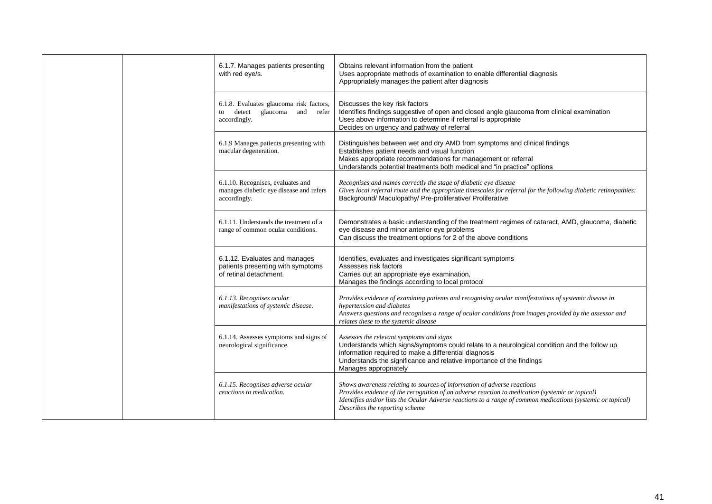|  |                                                                                              | 6.1.7. Manages patients presenting<br>with red eye/s.                                                                                                                                                                                                                                                                       | Obtains relevant information from the patient<br>Uses appropriate methods of examination to enable differential diagnosis<br>Appropriately manages the patient after diagnosis                                                                                        |
|--|----------------------------------------------------------------------------------------------|-----------------------------------------------------------------------------------------------------------------------------------------------------------------------------------------------------------------------------------------------------------------------------------------------------------------------------|-----------------------------------------------------------------------------------------------------------------------------------------------------------------------------------------------------------------------------------------------------------------------|
|  |                                                                                              | 6.1.8. Evaluates glaucoma risk factors,<br>detect glaucoma and refer<br>to<br>accordingly.                                                                                                                                                                                                                                  | Discusses the key risk factors<br>Identifies findings suggestive of open and closed angle glaucoma from clinical examination<br>Uses above information to determine if referral is appropriate<br>Decides on urgency and pathway of referral                          |
|  |                                                                                              | 6.1.9 Manages patients presenting with<br>macular degeneration.                                                                                                                                                                                                                                                             | Distinguishes between wet and dry AMD from symptoms and clinical findings<br>Establishes patient needs and visual function<br>Makes appropriate recommendations for management or referral<br>Understands potential treatments both medical and "in practice" options |
|  |                                                                                              | 6.1.10. Recognises, evaluates and<br>manages diabetic eye disease and refers<br>accordingly.                                                                                                                                                                                                                                | Recognises and names correctly the stage of diabetic eye disease<br>Gives local referral route and the appropriate timescales for referral for the following diabetic retinopathies:<br>Background/ Maculopathy/ Pre-proliferative/ Proliferative                     |
|  | 6.1.11. Understands the treatment of a<br>range of common ocular conditions.                 | Demonstrates a basic understanding of the treatment regimes of cataract, AMD, glaucoma, diabetic<br>eye disease and minor anterior eye problems<br>Can discuss the treatment options for 2 of the above conditions                                                                                                          |                                                                                                                                                                                                                                                                       |
|  | 6.1.12. Evaluates and manages<br>patients presenting with symptoms<br>of retinal detachment. | Identifies, evaluates and investigates significant symptoms<br>Assesses risk factors<br>Carries out an appropriate eye examination,<br>Manages the findings according to local protocol                                                                                                                                     |                                                                                                                                                                                                                                                                       |
|  | 6.1.13. Recognises ocular<br>manifestations of systemic disease.                             | Provides evidence of examining patients and recognising ocular manifestations of systemic disease in<br>hypertension and diabetes<br>Answers questions and recognises a range of ocular conditions from images provided by the assessor and<br>relates these to the systemic disease                                        |                                                                                                                                                                                                                                                                       |
|  | 6.1.14. Assesses symptoms and signs of<br>neurological significance.                         | Assesses the relevant symptoms and signs<br>Understands which signs/symptoms could relate to a neurological condition and the follow up<br>information required to make a differential diagnosis<br>Understands the significance and relative importance of the findings<br>Manages appropriately                           |                                                                                                                                                                                                                                                                       |
|  | 6.1.15. Recognises adverse ocular<br>reactions to medication.                                | Shows awareness relating to sources of information of adverse reactions<br>Provides evidence of the recognition of an adverse reaction to medication (systemic or topical)<br>Identifies and/or lists the Ocular Adverse reactions to a range of common medications (systemic or topical)<br>Describes the reporting scheme |                                                                                                                                                                                                                                                                       |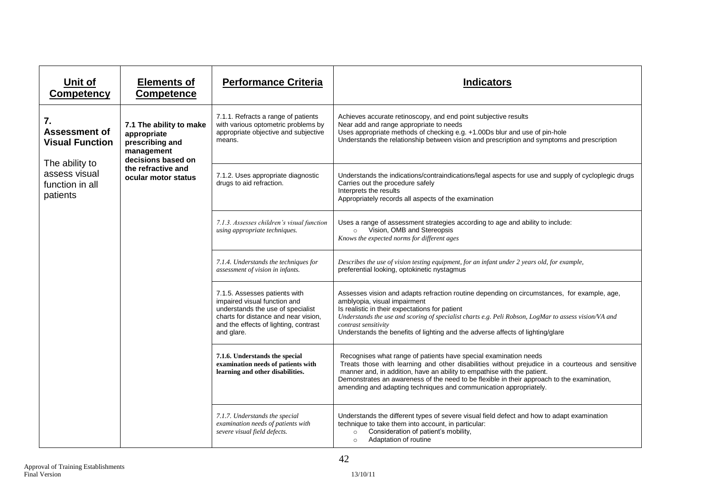| Unit of<br><b>Competency</b>                                                                                           | <b>Elements of</b><br><b>Competence</b>                                                                                                    | <b>Performance Criteria</b>                                                                                                                                                                       | <b>Indicators</b>                                                                                                                                                                                                                                                                                                                                                                                                  |
|------------------------------------------------------------------------------------------------------------------------|--------------------------------------------------------------------------------------------------------------------------------------------|---------------------------------------------------------------------------------------------------------------------------------------------------------------------------------------------------|--------------------------------------------------------------------------------------------------------------------------------------------------------------------------------------------------------------------------------------------------------------------------------------------------------------------------------------------------------------------------------------------------------------------|
| 7.<br><b>Assessment of</b><br><b>Visual Function</b><br>The ability to<br>assess visual<br>function in all<br>patients | 7.1 The ability to make<br>appropriate<br>prescribing and<br>management<br>decisions based on<br>the refractive and<br>ocular motor status | 7.1.1. Refracts a range of patients<br>with various optometric problems by<br>appropriate objective and subjective<br>means.                                                                      | Achieves accurate retinoscopy, and end point subjective results<br>Near add and range appropriate to needs<br>Uses appropriate methods of checking e.g. +1.00Ds blur and use of pin-hole<br>Understands the relationship between vision and prescription and symptoms and prescription                                                                                                                             |
|                                                                                                                        |                                                                                                                                            | 7.1.2. Uses appropriate diagnostic<br>drugs to aid refraction.                                                                                                                                    | Understands the indications/contraindications/legal aspects for use and supply of cycloplegic drugs<br>Carries out the procedure safely<br>Interprets the results<br>Appropriately records all aspects of the examination                                                                                                                                                                                          |
|                                                                                                                        |                                                                                                                                            | 7.1.3. Assesses children's visual function<br>using appropriate techniques.                                                                                                                       | Uses a range of assessment strategies according to age and ability to include:<br>Vision, OMB and Stereopsis<br>$\circ$<br>Knows the expected norms for different ages                                                                                                                                                                                                                                             |
|                                                                                                                        |                                                                                                                                            | 7.1.4. Understands the techniques for<br>assessment of vision in infants.                                                                                                                         | Describes the use of vision testing equipment, for an infant under 2 years old, for example,<br>preferential looking, optokinetic nystagmus                                                                                                                                                                                                                                                                        |
|                                                                                                                        |                                                                                                                                            | 7.1.5. Assesses patients with<br>impaired visual function and<br>understands the use of specialist<br>charts for distance and near vision.<br>and the effects of lighting, contrast<br>and glare. | Assesses vision and adapts refraction routine depending on circumstances, for example, age,<br>amblyopia, visual impairment<br>Is realistic in their expectations for patient<br>Understands the use and scoring of specialist charts e.g. Peli Robson, LogMar to assess vision/VA and<br>contrast sensitivity<br>Understands the benefits of lighting and the adverse affects of lighting/glare                   |
|                                                                                                                        |                                                                                                                                            | 7.1.6. Understands the special<br>examination needs of patients with<br>learning and other disabilities.                                                                                          | Recognises what range of patients have special examination needs<br>Treats those with learning and other disabilities without prejudice in a courteous and sensitive<br>manner and, in addition, have an ability to empathise with the patient.<br>Demonstrates an awareness of the need to be flexible in their approach to the examination,<br>amending and adapting techniques and communication appropriately. |
|                                                                                                                        |                                                                                                                                            | 7.1.7. Understands the special<br>examination needs of patients with<br>severe visual field defects.                                                                                              | Understands the different types of severe visual field defect and how to adapt examination<br>technique to take them into account, in particular:<br>Consideration of patient's mobility,<br>$\circ$<br>Adaptation of routine<br>$\circ$                                                                                                                                                                           |